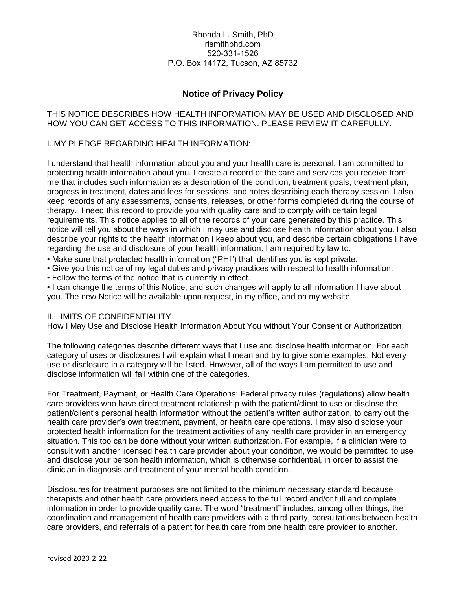### Rhonda L. Smith, PhD rlsmithphd.com 520-331-1526 P.O. Box 14172, Tucson, AZ 85732

# **Notice of Privacy Policy**

### THIS NOTICE DESCRIBES HOW HEALTH INFORMATION MAY BE USED AND DISCLOSED AND HOW YOU CAN GET ACCESS TO THIS INFORMATION. PLEASE REVIEW IT CAREFULLY.

### I. MY PLEDGE REGARDING HEALTH INFORMATION:

I understand that health information about you and your health care is personal. I am committed to protecting health information about you. I create a record of the care and services you receive from me that includes such information as a description of the condition, treatment goals, treatment plan, progress in treatment, dates and fees for sessions, and notes describing each therapy session. I also keep records of any assessments, consents, releases, or other forms completed during the course of therapy. I need this record to provide you with quality care and to comply with certain legal requirements. This notice applies to all of the records of your care generated by this practice. This notice will tell you about the ways in which I may use and disclose health information about you. I also describe your rights to the health information I keep about you, and describe certain obligations I have regarding the use and disclosure of your health information. I am required by law to:

- Make sure that protected health information ("PHI") that identifies you is kept private.
- Give you this notice of my legal duties and privacy practices with respect to health information.
- Follow the terms of the notice that is currently in effect.

• I can change the terms of this Notice, and such changes will apply to all information I have about you. The new Notice will be available upon request, in my office, and on my website.

### II. LIMITS OF CONFIDENTIALITY

How I May Use and Disclose Health Information About You without Your Consent or Authorization:

The following categories describe different ways that I use and disclose health information. For each category of uses or disclosures I will explain what I mean and try to give some examples. Not every use or disclosure in a category will be listed. However, all of the ways I am permitted to use and disclose information will fall within one of the categories.

For Treatment, Payment, or Health Care Operations: Federal privacy rules (regulations) allow health care providers who have direct treatment relationship with the patient/client to use or disclose the patient/client's personal health information without the patient's written authorization, to carry out the health care provider's own treatment, payment, or health care operations. I may also disclose your protected health information for the treatment activities of any health care provider in an emergency situation. This too can be done without your written authorization. For example, if a clinician were to consult with another licensed health care provider about your condition, we would be permitted to use and disclose your person health information, which is otherwise confidential, in order to assist the clinician in diagnosis and treatment of your mental health condition.

Disclosures for treatment purposes are not limited to the minimum necessary standard because therapists and other health care providers need access to the full record and/or full and complete information in order to provide quality care. The word "treatment" includes, among other things, the coordination and management of health care providers with a third party, consultations between health care providers, and referrals of a patient for health care from one health care provider to another.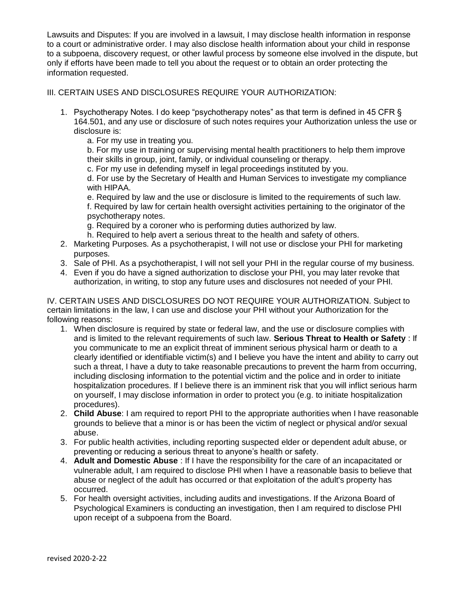Lawsuits and Disputes: If you are involved in a lawsuit, I may disclose health information in response to a court or administrative order. I may also disclose health information about your child in response to a subpoena, discovery request, or other lawful process by someone else involved in the dispute, but only if efforts have been made to tell you about the request or to obtain an order protecting the information requested.

### III. CERTAIN USES AND DISCLOSURES REQUIRE YOUR AUTHORIZATION:

1. Psychotherapy Notes. I do keep "psychotherapy notes" as that term is defined in 45 CFR § 164.501, and any use or disclosure of such notes requires your Authorization unless the use or disclosure is:

a. For my use in treating you.

b. For my use in training or supervising mental health practitioners to help them improve their skills in group, joint, family, or individual counseling or therapy.

c. For my use in defending myself in legal proceedings instituted by you.

d. For use by the Secretary of Health and Human Services to investigate my compliance with HIPAA.

e. Required by law and the use or disclosure is limited to the requirements of such law. f. Required by law for certain health oversight activities pertaining to the originator of the psychotherapy notes.

g. Required by a coroner who is performing duties authorized by law.

- h. Required to help avert a serious threat to the health and safety of others.
- 2. Marketing Purposes. As a psychotherapist, I will not use or disclose your PHI for marketing purposes.
- 3. Sale of PHI. As a psychotherapist, I will not sell your PHI in the regular course of my business.
- 4. Even if you do have a signed authorization to disclose your PHI, you may later revoke that authorization, in writing, to stop any future uses and disclosures not needed of your PHI.

IV. CERTAIN USES AND DISCLOSURES DO NOT REQUIRE YOUR AUTHORIZATION. Subject to certain limitations in the law, I can use and disclose your PHI without your Authorization for the following reasons:

- 1. When disclosure is required by state or federal law, and the use or disclosure complies with and is limited to the relevant requirements of such law. **Serious Threat to Health or Safety** : If you communicate to me an explicit threat of imminent serious physical harm or death to a clearly identified or identifiable victim(s) and I believe you have the intent and ability to carry out such a threat, I have a duty to take reasonable precautions to prevent the harm from occurring, including disclosing information to the potential victim and the police and in order to initiate hospitalization procedures. If I believe there is an imminent risk that you will inflict serious harm on yourself, I may disclose information in order to protect you (e.g. to initiate hospitalization procedures).
- 2. **Child Abuse**: I am required to report PHI to the appropriate authorities when I have reasonable grounds to believe that a minor is or has been the victim of neglect or physical and/or sexual abuse.
- 3. For public health activities, including reporting suspected elder or dependent adult abuse, or preventing or reducing a serious threat to anyone's health or safety.
- 4. **Adult and Domestic Abuse** : If I have the responsibility for the care of an incapacitated or vulnerable adult, I am required to disclose PHI when I have a reasonable basis to believe that abuse or neglect of the adult has occurred or that exploitation of the adult's property has occurred.
- 5. For health oversight activities, including audits and investigations. If the Arizona Board of Psychological Examiners is conducting an investigation, then I am required to disclose PHI upon receipt of a subpoena from the Board.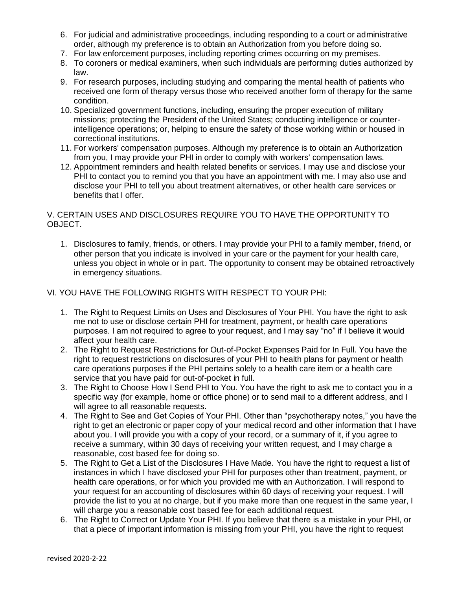- 6. For judicial and administrative proceedings, including responding to a court or administrative order, although my preference is to obtain an Authorization from you before doing so.
- 7. For law enforcement purposes, including reporting crimes occurring on my premises.
- 8. To coroners or medical examiners, when such individuals are performing duties authorized by law.
- 9. For research purposes, including studying and comparing the mental health of patients who received one form of therapy versus those who received another form of therapy for the same condition.
- 10. Specialized government functions, including, ensuring the proper execution of military missions; protecting the President of the United States; conducting intelligence or counterintelligence operations; or, helping to ensure the safety of those working within or housed in correctional institutions.
- 11. For workers' compensation purposes. Although my preference is to obtain an Authorization from you, I may provide your PHI in order to comply with workers' compensation laws.
- 12. Appointment reminders and health related benefits or services. I may use and disclose your PHI to contact you to remind you that you have an appointment with me. I may also use and disclose your PHI to tell you about treatment alternatives, or other health care services or benefits that I offer.

# V. CERTAIN USES AND DISCLOSURES REQUIRE YOU TO HAVE THE OPPORTUNITY TO OBJECT.

1. Disclosures to family, friends, or others. I may provide your PHI to a family member, friend, or other person that you indicate is involved in your care or the payment for your health care, unless you object in whole or in part. The opportunity to consent may be obtained retroactively in emergency situations.

## VI. YOU HAVE THE FOLLOWING RIGHTS WITH RESPECT TO YOUR PHI:

- 1. The Right to Request Limits on Uses and Disclosures of Your PHI. You have the right to ask me not to use or disclose certain PHI for treatment, payment, or health care operations purposes. I am not required to agree to your request, and I may say "no" if I believe it would affect your health care.
- 2. The Right to Request Restrictions for Out-of-Pocket Expenses Paid for In Full. You have the right to request restrictions on disclosures of your PHI to health plans for payment or health care operations purposes if the PHI pertains solely to a health care item or a health care service that you have paid for out-of-pocket in full.
- 3. The Right to Choose How I Send PHI to You. You have the right to ask me to contact you in a specific way (for example, home or office phone) or to send mail to a different address, and I will agree to all reasonable requests.
- 4. The Right to See and Get Copies of Your PHI. Other than "psychotherapy notes," you have the right to get an electronic or paper copy of your medical record and other information that I have about you. I will provide you with a copy of your record, or a summary of it, if you agree to receive a summary, within 30 days of receiving your written request, and I may charge a reasonable, cost based fee for doing so.
- 5. The Right to Get a List of the Disclosures I Have Made. You have the right to request a list of instances in which I have disclosed your PHI for purposes other than treatment, payment, or health care operations, or for which you provided me with an Authorization. I will respond to your request for an accounting of disclosures within 60 days of receiving your request. I will provide the list to you at no charge, but if you make more than one request in the same year, I will charge you a reasonable cost based fee for each additional request.
- 6. The Right to Correct or Update Your PHI. If you believe that there is a mistake in your PHI, or that a piece of important information is missing from your PHI, you have the right to request